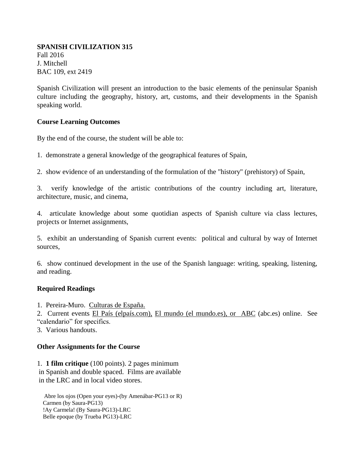#### **SPANISH CIVILIZATION 315** Fall 2016 J. Mitchell BAC 109, ext 2419

Spanish Civilization will present an introduction to the basic elements of the peninsular Spanish culture including the geography, history, art, customs, and their developments in the Spanish speaking world.

### **Course Learning Outcomes**

By the end of the course, the student will be able to:

1. demonstrate a general knowledge of the geographical features of Spain,

2. show evidence of an understanding of the formulation of the "history" (prehistory) of Spain,

3. verify knowledge of the artistic contributions of the country including art, literature, architecture, music, and cinema,

4. articulate knowledge about some quotidian aspects of Spanish culture via class lectures, projects or Internet assignments,

5. exhibit an understanding of Spanish current events: political and cultural by way of Internet sources,

6. show continued development in the use of the Spanish language: writing, speaking, listening, and reading.

## **Required Readings**

1. Pereira-Muro. Culturas de España.

2. Current events El País (elpaís.com), El mundo (el mundo.es), or ABC (abc.es) online. See "calendario" for specifics.

3. Various handouts.

## **Other Assignments for the Course**

1. **1 film critique** (100 points). 2 pages minimum in Spanish and double spaced. Films are available in the LRC and in local video stores.

 Abre los ojos (Open your eyes)-(by Amenábar-PG13 or R) Carmen (by Saura-PG13) !Ay Carmela! (By Saura-PG13)-LRC Belle epoque (by Trueba PG13)-LRC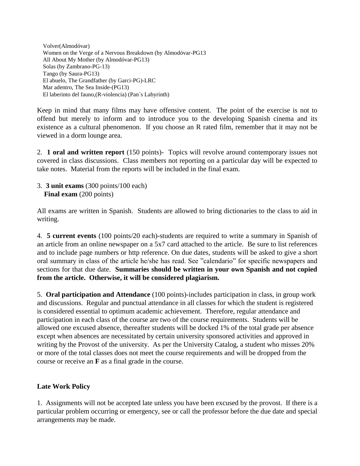Volver(Almodóvar) Women on the Verge of a Nervous Breakdown (by Almodóvar-PG13 All About My Mother (by Almodóvar-PG13) Solas (by Zambrano-PG-13) Tango (by Saura-PG13) El abuelo, The Grandfather (by Garci-PG)-LRC Mar adentro, The Sea Inside-(PG13) El laberinto del fauno,(R-violencia) (Pan´s Labyrinth)

Keep in mind that many films may have offensive content. The point of the exercise is not to offend but merely to inform and to introduce you to the developing Spanish cinema and its existence as a cultural phenomenon. If you choose an R rated film, remember that it may not be viewed in a dorm lounge area.

2. **1 oral and written report** (150 points)- Topics will revolve around contemporary issues not covered in class discussions. Class members not reporting on a particular day will be expected to take notes. Material from the reports will be included in the final exam.

3. **3 unit exams** (300 points/100 each) **Final exam** (200 points)

All exams are written in Spanish. Students are allowed to bring dictionaries to the class to aid in writing.

4. **5 current events** (100 points/20 each)-students are required to write a summary in Spanish of an article from an online newspaper on a 5x7 card attached to the article. Be sure to list references and to include page numbers or http reference. On due dates, students will be asked to give a short oral summary in class of the article he/she has read. See "calendario" for specific newspapers and sections for that due date. **Summaries should be written in your own Spanish and not copied from the article. Otherwise, it will be considered plagiarism.** 

5. **Oral participation and Attendance** (100 points)-includes participation in class, in group work and discussions. Regular and punctual attendance in all classes for which the student is registered is considered essential to optimum academic achievement. Therefore, regular attendance and participation in each class of the course are two of the course requirements. Students will be allowed one excused absence, thereafter students will be docked 1% of the total grade per absence except when absences are necessitated by certain university sponsored activities and approved in writing by the Provost of the university. As per the University Catalog, a student who misses 20% or more of the total classes does not meet the course requirements and will be dropped from the course or receive an **F** as a final grade in the course.

## **Late Work Policy**

1. Assignments will not be accepted late unless you have been excused by the provost. If there is a particular problem occurring or emergency, see or call the professor before the due date and special arrangements may be made.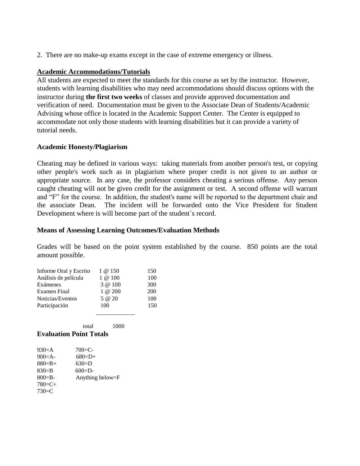2. There are no make-up exams except in the case of extreme emergency or illness.

### **Academic Accommodations/Tutorials**

All students are expected to meet the standards for this course as set by the instructor. However, students with learning disabilities who may need accommodations should discuss options with the instructor during **the first two weeks** of classes and provide approved documentation and verification of need. Documentation must be given to the Associate Dean of Students/Academic Advising whose office is located in the Academic Support Center. The Center is equipped to accommodate not only those students with learning disabilities but it can provide a variety of tutorial needs.

### **Academic Honesty/Plagiarism**

Cheating may be defined in various ways: taking materials from another person's test, or copying other people's work such as in plagiarism where proper credit is not given to an author or appropriate source. In any case, the professor considers cheating a serious offense. Any person caught cheating will not be given credit for the assignment or test. A second offense will warrant and "F" for the course. In addition, the student's name will be reported to the department chair and the associate Dean. The incident will be forwarded onto the Vice President for Student Development where is will become part of the student´s record.

#### **Means of Assessing Learning Outcomes/Evaluation Methods**

Grades will be based on the point system established by the course. 850 points are the total amount possible.

| Informe Oral y Escrito | 1 @ 150    | 150 |
|------------------------|------------|-----|
| Análisis de película   | $1 \& 100$ | 100 |
| Exámenes               | 3 @ 100    | 300 |
| <b>Examen Final</b>    | $1 \& 200$ | 200 |
| Noticias/Eventos       | $5 \t@ 20$ | 100 |
| Participación          | 100        | 150 |
|                        |            |     |

total 1000

# **Evaluation Point Totals**

| $930=$ A    | $700 = C -$      |
|-------------|------------------|
| $900 = A -$ | $680=D+$         |
| $880 = B +$ | $630=$ D         |
| $830 = B$   | $600 = D -$      |
| $800 = B -$ | Anything below=F |
| $780=C+$    |                  |
| $730=$ C    |                  |
|             |                  |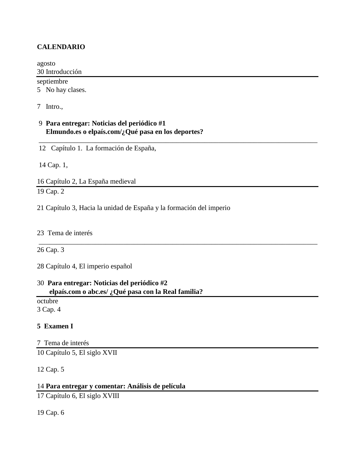## **CALENDARIO**

agosto 30 Introducción septiembre 5 No hay clases.

\_\_\_\_\_\_\_\_\_\_\_\_\_\_\_\_\_\_\_\_\_\_\_\_\_\_\_\_\_\_\_\_\_\_\_\_\_\_\_\_\_\_\_\_\_\_\_\_\_\_\_\_\_\_\_\_\_\_\_\_\_\_\_\_\_\_\_\_\_\_\_\_\_\_\_\_\_\_\_

\_\_\_\_\_\_\_\_\_\_\_\_\_\_\_\_\_\_\_\_\_\_\_\_\_\_\_\_\_\_\_\_\_\_\_\_\_\_\_\_\_\_\_\_\_\_\_\_\_\_\_\_\_\_\_\_\_\_\_\_\_\_\_\_\_\_\_\_\_\_\_\_\_\_\_\_\_\_\_

7 Intro.,

## 9 **Para entregar: Noticias del periódico #1 Elmundo.es o elpaís.com/¿Qué pasa en los deportes?**

12 Capítulo 1. La formación de España,

14 Cap. 1,

16 Capítulo 2, La España medieval 19 Cap. 2

21 Capítulo 3, Hacia la unidad de España y la formación del imperio

23 Tema de interés

26 Cap. 3

28 Capítulo 4, El imperio español

## 30 **Para entregar: Noticias del periódico #2 elpaís.com o abc.es/ ¿Qué pasa con la Real familia?**

octubre 3 Cap. 4

#### **5 Examen I**

7 Tema de interés

10 Capítulo 5, El siglo XVII

12 Cap. 5

## 14 **Para entregar y comentar: Análisis de película**

17 Capítulo 6, El siglo XVIII

19 Cap. 6